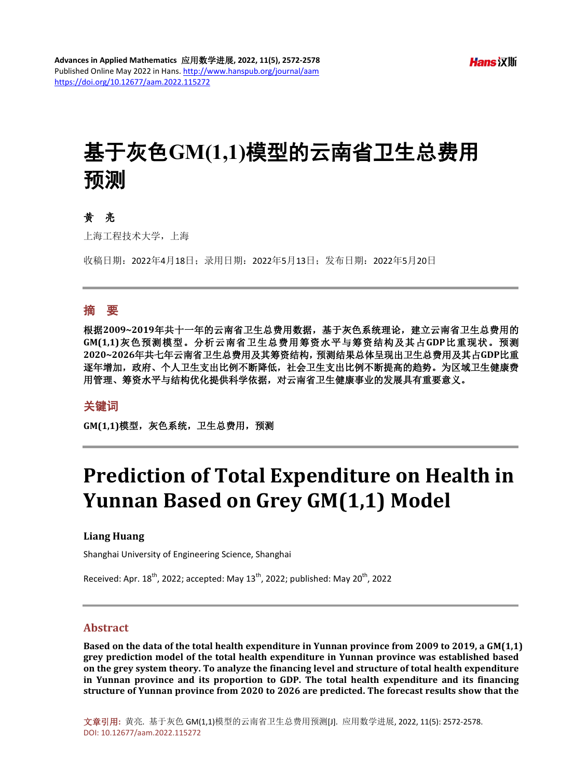# 基于灰色**GM(1,1)**模型的云南省卫生总费用 预测

# 黄亮

上海工程技术大学,上海

收稿日期:2022年4月18日;录用日期:2022年5月13日;发布日期:2022年5月20日

## 摘 要

根据**2009~2019**年共十一年的云南省卫生总费用数据,基于灰色系统理论,建立云南省卫生总费用的 **GM(1,1)**灰色预测模型。分析云南省卫生总费用筹资水平与筹资结构及其占**GDP**比重现状。预测 **2020~2026**年共七年云南省卫生总费用及其筹资结构,预测结果总体呈现出卫生总费用及其占**GDP**比重 逐年增加,政府、个人卫生支出比例不断降低,社会卫生支出比例不断提高的趋势。为区域卫生健康费 用管理、筹资水平与结构优化提供科学依据,对云南省卫生健康事业的发展具有重要意义。

#### 关键词

GM(1,1)模型, 灰色系统, 卫生总费用, 预测

# **Prediction of Total Expenditure on Health in Yunnan Based on Grey GM(1,1) Model**

#### **Liang Huang**

Shanghai University of Engineering Science, Shanghai

Received: Apr.  $18^{th}$ , 2022; accepted: May  $13^{th}$ , 2022; published: May  $20^{th}$ , 2022

#### **Abstract**

**Based on the data of the total health expenditure in Yunnan province from 2009 to 2019, a GM(1,1) grey prediction model of the total health expenditure in Yunnan province was established based on the grey system theory. To analyze the financing level and structure of total health expenditure in Yunnan province and its proportion to GDP. The total health expenditure and its financing structure of Yunnan province from 2020 to 2026 are predicted. The forecast results show that the**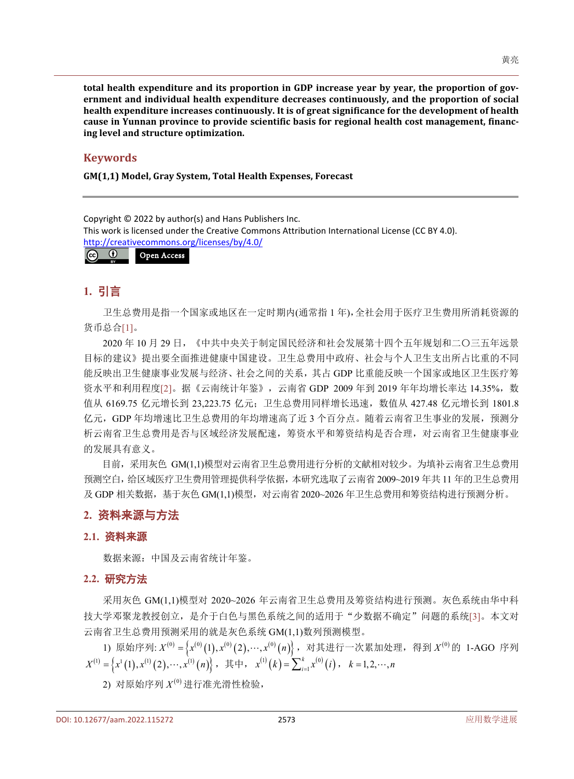**total health expenditure and its proportion in GDP increase year by year, the proportion of government and individual health expenditure decreases continuously, and the proportion of social health expenditure increases continuously. It is of great significance for the development of health cause in Yunnan province to provide scientific basis for regional health cost management, financing level and structure optimization.**

### **Keywords**

**GM(1,1) Model, Gray System, Total Health Expenses, Forecast**

Copyright © 2022 by author(s) and Hans Publishers Inc.

This work is licensed under the Creative Commons Attribution International License (CC BY 4.0). <http://creativecommons.org/licenses/by/4.0/>

#### $\odot$ Open Access $\left(\mathrm{cc}\right)$

# **1.** 引言

卫生总费用是指一个国家或地区在一定时期内(通常指 1 年),全社会用于医疗卫生费用所消耗资源的 货币总合[\[1\]](#page-6-0)。

2020 年 10 月 29 日,《中共中央关于制定国民经济和社会发展第十四个五年规划和二〇三五年远景 目标的建议》提出要全面推进健康中国建设。卫生总费用中政府、社会与个人卫生支出所占比重的不同 能反映出卫生健康事业发展与经济、社会之间的关系,其占 GDP 比重能反映一个国家或地区卫生医疗筹 资水平和利用程度[\[2\]](#page-6-1)。据《云南统计年鉴》,云南省 GDP 2009年到 2019年年均增长率达 14.35%, 数 值从 6169.75 亿元增长到 23,223.75 亿元;卫生总费用同样增长迅速,数值从 427.48 亿元增长到 1801.8 亿元,GDP 年均增速比卫生总费用的年均增速高了近 3 个百分点。随着云南省卫生事业的发展,预测分 析云南省卫生总费用是否与区域经济发展配速,筹资水平和筹资结构是否合理,对云南省卫生健康事业 的发展具有意义。

目前,采用灰色 GM(1,1)模型对云南省卫生总费用进行分析的文献相对较少。为填补云南省卫生总费用 预测空白,给区域医疗卫生费用管理提供科学依据,本研究选取了云南省 2009~2019 年共 11 年的卫生总费用 及 GDP 相关数据, 基于灰色 GM(1,1)模型, 对云南省 2020~2026 年卫生总费用和筹资结构进行预测分析。

# **2.** 资料来源与方法

# **2.1.** 资料来源

数据来源:中国及云南省统计年鉴。

### **2.2.** 研究方法

采用灰色 GM(1,1)模型对 2020~2026 年云南省卫生总费用及筹资结构进行预测。灰色系统由华中科 技大学邓聚龙教授创立,是介于白色与黑色系统之间的适用于"少数据不确定"问题的系统[\[3\]](#page-6-2)。本文对 云南省卫生总费用预测采用的就是灰色系统 GM(1,1)数列预测模型。

1) 原始序列:  $X^{(0)} = \left\{ x^{(0)}(1), x^{(0)}(2), \cdots, x^{(0)}(n) \right\}$ , 对其进行一次累加处理, 得到  $X^{(0)}$ 的 1-AGO 序列  $X^{(1)} = \left\{ x^1\left(1\right), x^{(1)}\left(2\right), \cdots, x^{(1)}\left(n\right) \right\}, \; \; \mathbf{\ddot{\pm}} \; \mathbf{\ddot{\pm}} \; , \; \; \; x^{(1)}\left(k\right) = \sum\nolimits_{i=1}^k {x^{(0)}\left(i\right)}$  $x^{(1)}(k) = \sum_{i=1}^{k} x^{(0)}(i)$ ,  $k = 1, 2, \dots, n$ 

2) 对原始序列 $X^{(0)}$ 进行准光滑性检验,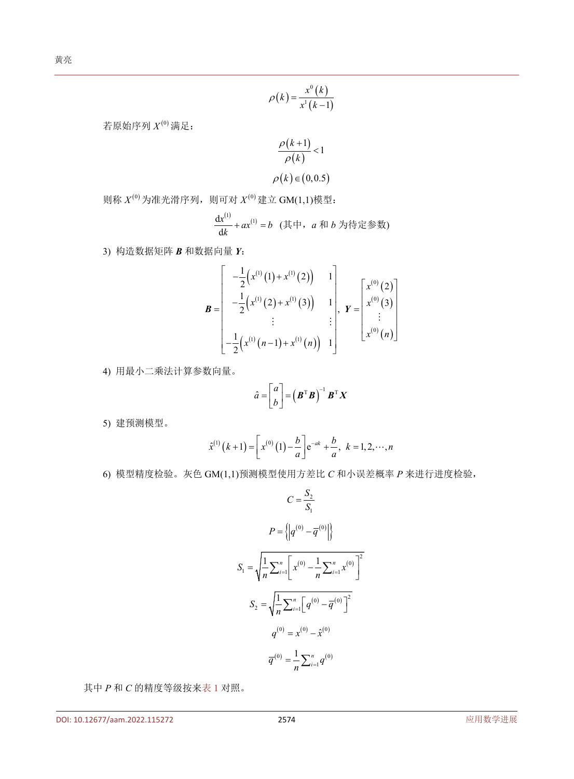$$
\rho(k) = \frac{x^0(k)}{x^1(k-1)}
$$

若原始序列 $X^{(0)}$ 满足:

$$
\frac{\rho(k+1)}{\rho(k)} < 1
$$
  

$$
\rho(k) \in (0, 0.5)
$$

 $\mathbb{R}^{(0)}$  为准光滑序列, 则可对  $X^{(0)}$  建立 GM(1,1)模型:

$$
\frac{\mathrm{d} x^{(1)}}{\mathrm{d} k} + a x^{(1)} = b \ \ (\not\equiv \mp \, , \ a \not\equiv b \not\!\!\!\! \rightarrow b \not\!\!\!\! \rightarrow \pm \, \pi \, b \not\!\!\!\! \rightarrow \pm \, b \not\!\!\!\! \rightarrow \pm \, b \not\!\!\!\! \rightarrow \pm \, b \not\!\!\!\! \rightarrow \pm \, b \not\!\!\!\! \rightarrow \pm \, b \not\!\!\!\! \rightarrow \pm \, b \not\!\!\!\! \rightarrow \pm \, b \not\!\!\!\! \rightarrow \pm \, b \not\!\!\! \rightarrow \pm \, b \not\!\!\! \rightarrow \pm \, b \not\!\!\! \rightarrow \pm \, b \not\!\!\! \rightarrow \pm \, b \not\!\!\! \rightarrow \pm \, b \not\!\!\! \rightarrow \pm \, b \not\!\!\! \rightarrow \pm \, b \not\!\!\! \rightarrow \pm \, b \not\!\!\! \rightarrow \pm \, b \not\!\!\! \rightarrow \pm \, b \not\!\!\! \rightarrow \pm \, b \not\!\!\! \rightarrow \pm \, b \not\!\!\! \rightarrow \pm \, b \not\!\!\! \rightarrow \pm \, b \not\!\! \rightarrow \pm \, b \not\!\! \rightarrow \pm \, b \not\!\! \rightarrow \pm \, b \not\!\! \rightarrow \pm \, b \not\!\! \rightarrow \pm \, b \not\!\! \rightarrow \pm \, b \not\!\! \rightarrow \pm \, b \not\!\! \rightarrow \pm \, b \not\!\! \rightarrow \pm \, b \not\!\! \rightarrow \pm \, b \not\!\! \rightarrow \pm \, b \not\!\! \rightarrow \pm \, b \not\!\! \rightarrow \pm \, b \not\!\! \rightarrow \pm \, b \not\!\! \rightarrow \pm \, b \not\!\! \rightarrow \pm \, b \not\!\! \rightarrow \pm \, b \not\!\! \rightarrow \pm \, b \not\!\! \rightarrow \pm \, b \not\!\! \rightarrow \pm \, b \not\!\! \rightarrow \pm \, b \not\!\! \rightarrow \pm \, b \not\!\! \rightarrow \pm \, b \not\!\! \rightarrow \pm \, b \not\!\! \rightarrow \pm \, b \not\!\! \rightarrow \pm \, b \not\!\! \rightarrow \pm \, b \not\!\! \rightarrow \pm \, b \not\!\! \rightarrow \pm \, b \not\!\! \rightarrow \pm \, b \not\!\! \rightarrow \pm \, b \not\!\! \rightarrow \pm \, b \not\!\! \rightarrow \
$$

3) 构造数据矩阵 *B* 和数据向量 *Y*:

$$
\mathbf{B} = \begin{bmatrix} -\frac{1}{2} (x^{(1)}(1) + x^{(1)}(2)) & 1 \\ -\frac{1}{2} (x^{(1)}(2) + x^{(1)}(3)) & 1 \\ \vdots & \vdots \\ -\frac{1}{2} (x^{(1)}(n-1) + x^{(1)}(n)) & 1 \end{bmatrix}, \quad \mathbf{Y} = \begin{bmatrix} x^{(0)}(2) \\ x^{(0)}(3) \\ \vdots \\ x^{(0)}(n) \end{bmatrix}
$$

4) 用最小二乘法计算参数向量。

$$
\hat{a} = \begin{bmatrix} a \\ b \end{bmatrix} = \left( \boldsymbol{B}^{\mathrm{T}} \boldsymbol{B} \right)^{-1} \boldsymbol{B}^{\mathrm{T}} \boldsymbol{X}
$$

5) 建预测模型。

$$
\hat{x}^{(1)}(k+1) = \left[x^{(0)}(1) - \frac{b}{a}\right] e^{-ak} + \frac{b}{a}, \ k = 1, 2, \cdots, n
$$

6) 模型精度检验。灰色 GM(1,1)预测模型使用方差比 *C* 和小误差概率 *P* 来进行进度检验,

$$
C = \frac{S_2}{S_1}
$$
  
\n
$$
P = \left\{ \left| q^{(0)} - \overline{q}^{(0)} \right| \right\}
$$
  
\n
$$
S_1 = \sqrt{\frac{1}{n} \sum_{i=1}^n \left[ x^{(0)} - \frac{1}{n} \sum_{i=1}^n x^{(0)} \right]^2}
$$
  
\n
$$
S_2 = \sqrt{\frac{1}{n} \sum_{i=1}^n \left[ q^{(0)} - \overline{q}^{(0)} \right]^2}
$$
  
\n
$$
q^{(0)} = x^{(0)} - \hat{x}^{(0)}
$$
  
\n
$$
\overline{q}^{(0)} = \frac{1}{n} \sum_{i=1}^n q^{(0)}
$$

其中 *P* 和 *C* 的精度等级按[来表](#page-3-0) 1 对照。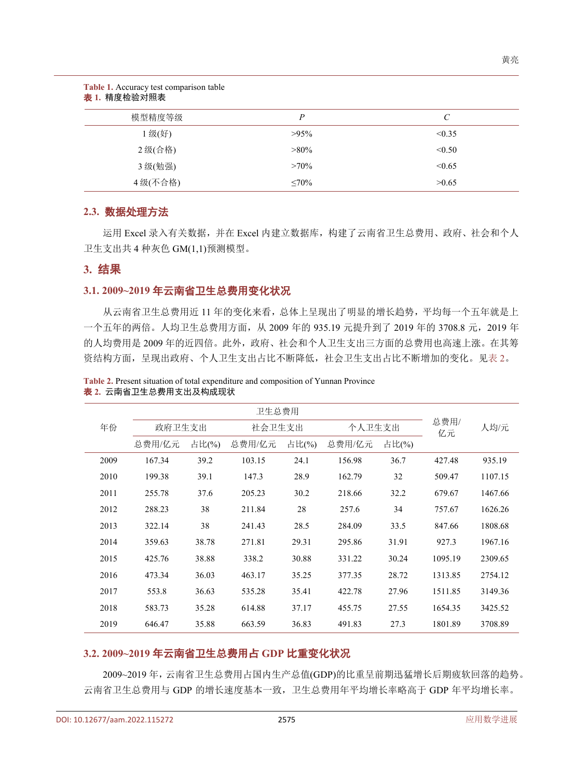<span id="page-3-0"></span>

| 表 1. 精度检验对照表 |             |                       |  |  |  |  |
|--------------|-------------|-----------------------|--|--|--|--|
| 模型精度等级       | P           | $\mathcal{C}_{0}^{0}$ |  |  |  |  |
| 1级(好)        | $>95\%$     | < 0.35                |  |  |  |  |
| 2级(合格)       | $>80\%$     | < 0.50                |  |  |  |  |
| 3级(勉强)       | $>70\%$     | < 0.65                |  |  |  |  |
| 4级(不合格)      | $\leq 70\%$ | >0.65                 |  |  |  |  |

# **2.3.** 数据处理方法

**Table 1.** Accuracy test comparison table

运用 Excel 录入有关数据,并在 Excel 内建立数据库,构建了云南省卫生总费用、政府、社会和个人 卫生支出共 4 种灰色 GM(1,1)预测模型。

#### **3.** 结果

#### **3.1. 2009~2019** 年云南省卫生总费用变化状况

从云南省卫生总费用近 11 年的变化来看,总体上呈现出了明显的增长趋势,平均每一个五年就是上 一个五年的两倍。人均卫生总费用方面, 从 2009 年的 935.19 元提升到了 2019 年的 3708.8 元, 2019 年 的人均费用是 2009 年的近四倍。此外,政府、社会和个人卫生支出三方面的总费用也高速上涨。在其筹 资结构方面,呈现出政府、个人卫生支出占比不断降低,社会卫生支出占比不断增加的变化。[见表](#page-3-1) 2。

|      | 卫生总费用  |       |        |       |        |       |            |         |
|------|--------|-------|--------|-------|--------|-------|------------|---------|
| 年份   | 政府卫生支出 |       | 社会卫生支出 |       | 个人卫生支出 |       | 总费用/<br>亿元 | 人均/元    |
|      | 总费用/亿元 | 占比(%) | 总费用/亿元 | 占比(%) | 总费用/亿元 | 占比(%) |            |         |
| 2009 | 167.34 | 39.2  | 103.15 | 24.1  | 156.98 | 36.7  | 427.48     | 935.19  |
| 2010 | 199.38 | 39.1  | 147.3  | 28.9  | 162.79 | 32    | 509.47     | 1107.15 |
| 2011 | 255.78 | 37.6  | 205.23 | 30.2  | 218.66 | 32.2  | 679.67     | 1467.66 |
| 2012 | 288.23 | 38    | 211.84 | 28    | 257.6  | 34    | 757.67     | 1626.26 |
| 2013 | 322.14 | 38    | 241.43 | 28.5  | 284.09 | 33.5  | 847.66     | 1808.68 |
| 2014 | 359.63 | 38.78 | 271.81 | 29.31 | 295.86 | 31.91 | 927.3      | 1967.16 |
| 2015 | 425.76 | 38.88 | 338.2  | 30.88 | 331.22 | 30.24 | 1095.19    | 2309.65 |
| 2016 | 473.34 | 36.03 | 463.17 | 35.25 | 377.35 | 28.72 | 1313.85    | 2754.12 |
| 2017 | 553.8  | 36.63 | 535.28 | 35.41 | 422.78 | 27.96 | 1511.85    | 3149.36 |
| 2018 | 583.73 | 35.28 | 614.88 | 37.17 | 455.75 | 27.55 | 1654.35    | 3425.52 |
| 2019 | 646.47 | 35.88 | 663.59 | 36.83 | 491.83 | 27.3  | 1801.89    | 3708.89 |

<span id="page-3-1"></span>**Table 2.** Present situation of total expenditure and composition of Yunnan Province 表 **2.** 云南省卫生总费用支出及构成现状

# **3.2. 2009~2019** 年云南省卫生总费用占 **GDP** 比重变化状况

2009~2019 年,云南省卫生总费用占国内生产总值(GDP)的比重呈前期迅猛增长后期疲软回落的趋势。 云南省卫生总费用与 GDP 的增长速度基本一致,卫生总费用年平均增长率略高于 GDP 年平均增长率。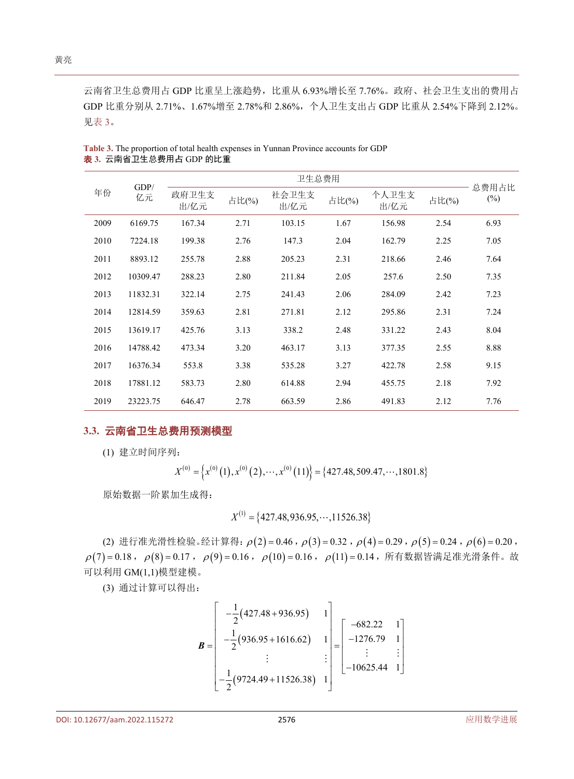云南省卫生总费用占 GDP 比重呈上涨趋势,比重从 6.93%增长至 7.76%。政府、社会卫生支出的费用占 GDP 比重分别从 2.71%、1.67%增至 2.78%和 2.86%,个人卫生支出占 GDP 比重从 2.54%下降到 2.12%。 [见表](#page-4-0) 3。

| GDP/<br>年份<br>亿元 | 卫生总费用         |        |               |        |               |        |                 |      |
|------------------|---------------|--------|---------------|--------|---------------|--------|-----------------|------|
|                  | 政府卫生支<br>出/亿元 | 占比(%)  | 社会卫生支<br>出/亿元 | 占比(%)  | 个人卫生支<br>出/亿元 | 占比(%)  | 总费用占比<br>$(\%)$ |      |
| 2009             | 6169.75       | 167.34 | 2.71          | 103.15 | 1.67          | 156.98 | 2.54            | 6.93 |
| 2010             | 7224.18       | 199.38 | 2.76          | 147.3  | 2.04          | 162.79 | 2.25            | 7.05 |
| 2011             | 8893.12       | 255.78 | 2.88          | 205.23 | 2.31          | 218.66 | 2.46            | 7.64 |
| 2012             | 10309.47      | 288.23 | 2.80          | 211.84 | 2.05          | 257.6  | 2.50            | 7.35 |
| 2013             | 11832.31      | 322.14 | 2.75          | 241.43 | 2.06          | 284.09 | 2.42            | 7.23 |
| 2014             | 12814.59      | 359.63 | 2.81          | 271.81 | 2.12          | 295.86 | 2.31            | 7.24 |
| 2015             | 13619.17      | 425.76 | 3.13          | 338.2  | 2.48          | 331.22 | 2.43            | 8.04 |
| 2016             | 14788.42      | 473.34 | 3.20          | 463.17 | 3.13          | 377.35 | 2.55            | 8.88 |
| 2017             | 16376.34      | 553.8  | 3.38          | 535.28 | 3.27          | 422.78 | 2.58            | 9.15 |
| 2018             | 17881.12      | 583.73 | 2.80          | 614.88 | 2.94          | 455.75 | 2.18            | 7.92 |
| 2019             | 23223.75      | 646.47 | 2.78          | 663.59 | 2.86          | 491.83 | 2.12            | 7.76 |

<span id="page-4-0"></span>**Table 3.** The proportion of total health expenses in Yunnan Province accounts for GDP 表 **3.** 云南省卫生总费用占 GDP 的比重

### **3.3.** 云南省卫生总费用预测模型

(1) 建立时间序列:

$$
X^{(0)} = \left\{ x^{(0)}(1), x^{(0)}(2), \cdots, x^{(0)}(11) \right\} = \left\{ 427.48, 509.47, \cdots, 1801.8 \right\}
$$

原始数据一阶累加生成得:

$$
X^{(1)} = \{427.48, 936.95, \cdots, 11526.38\}
$$

(2) 进行准光滑性检验。经计算得:  $\rho(2) = 0.46$ ,  $\rho(3) = 0.32$ ,  $\rho(4) = 0.29$ ,  $\rho(5) = 0.24$ ,  $\rho(6) = 0.20$ ,  $\rho$ (7) = 0.18,  $\rho$ (8) = 0.17,  $\rho$ (9) = 0.16,  $\rho$ (10) = 0.16,  $\rho$ (11) = 0.14, 所有数据皆满足准光滑条件。故 可以利用 GM(1,1)模型建模。

(3) 通过计算可以得出:

$$
\mathbf{B} = \begin{bmatrix} -\frac{1}{2} (427.48 + 936.95) & 1 \\ -\frac{1}{2} (936.95 + 1616.62) & 1 \\ \vdots & \vdots & \vdots \\ -\frac{1}{2} (9724.49 + 11526.38) & 1 \end{bmatrix} = \begin{bmatrix} -682.22 & 1 \\ -1276.79 & 1 \\ \vdots & \vdots \\ -10625.44 & 1 \end{bmatrix}
$$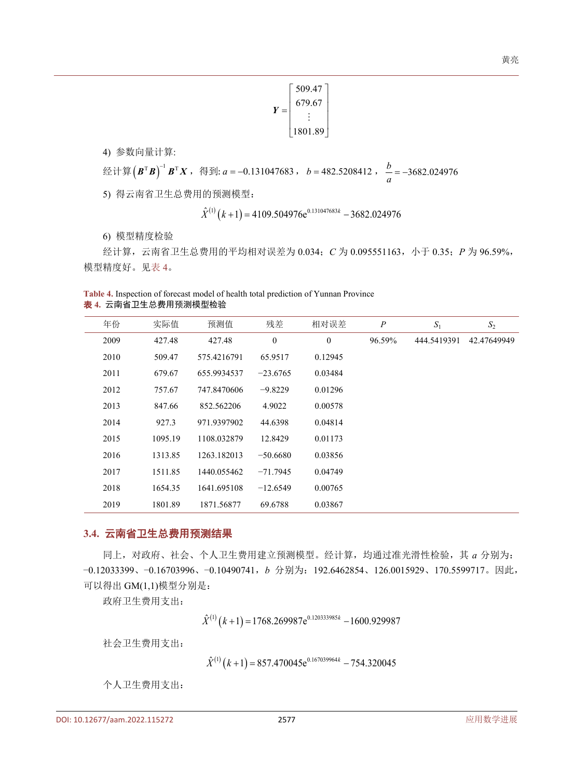$$
Y = \begin{bmatrix} 509.47 \\ 679.67 \\ \vdots \\ 1801.89 \end{bmatrix}
$$

4) 参数向量计算:

经计算 $(B^T B)^{-1} B^T X$ , 得到: *a* = -0.131047683, *b* = 482.5208412,  $\frac{b}{a}$  = -3682.024976

5) 得云南省卫生总费用的预测模型:

$$
\hat{X}^{(1)}(k+1) = 4109.504976e^{0.131047683k} - 3682.024976
$$

6) 模型精度检验

经计算,云南省卫生总费用的平均相对误差为 0.034;*C* 为 0.095551163,小于 0.35;*P* 为 96.59%, 模型精度好。[见表](#page-5-0) 4。

<span id="page-5-0"></span>**Table 4.** Inspection of forecast model of health total prediction of Yunnan Province 表 **4.** 云南省卫生总费用预测模型检验

| 年份   | 实际值     | 预测值         | 残差           | 相对误差         | $\boldsymbol{P}$ | $S_1$       | $S_2$       |
|------|---------|-------------|--------------|--------------|------------------|-------------|-------------|
| 2009 | 427.48  | 427.48      | $\mathbf{0}$ | $\mathbf{0}$ | 96.59%           | 444.5419391 | 42.47649949 |
| 2010 | 509.47  | 575.4216791 | 65.9517      | 0.12945      |                  |             |             |
| 2011 | 679.67  | 655.9934537 | $-23.6765$   | 0.03484      |                  |             |             |
| 2012 | 757.67  | 747.8470606 | $-9.8229$    | 0.01296      |                  |             |             |
| 2013 | 847.66  | 852.562206  | 4.9022       | 0.00578      |                  |             |             |
| 2014 | 927.3   | 971.9397902 | 44.6398      | 0.04814      |                  |             |             |
| 2015 | 1095.19 | 1108.032879 | 12.8429      | 0.01173      |                  |             |             |
| 2016 | 1313.85 | 1263.182013 | $-50.6680$   | 0.03856      |                  |             |             |
| 2017 | 1511.85 | 1440.055462 | $-71.7945$   | 0.04749      |                  |             |             |
| 2018 | 1654.35 | 1641.695108 | $-12.6549$   | 0.00765      |                  |             |             |
| 2019 | 1801.89 | 1871.56877  | 69.6788      | 0.03867      |                  |             |             |

#### **3.4.** 云南省卫生总费用预测结果

同上,对政府、社会、个人卫生费用建立预测模型。经计算,均通过准光滑性检验,其 *a* 分别为: −0.12033399、−0.16703996、−0.10490741,*b* 分别为:192.6462854、126.0015929、170.5599717。因此, 可以得出 GM(1,1)模型分别是:

政府卫生费用支出:

 $\hat{X}^{(1)}(k+1) = 1768.269987e^{0.120333985k} - 1600.929987$ 

社会卫生费用支出:

 $\hat{X}^{(1)}(k+1) = 857.470045e^{0.167039964k} - 754.320045$ 

个人卫生费用支出: